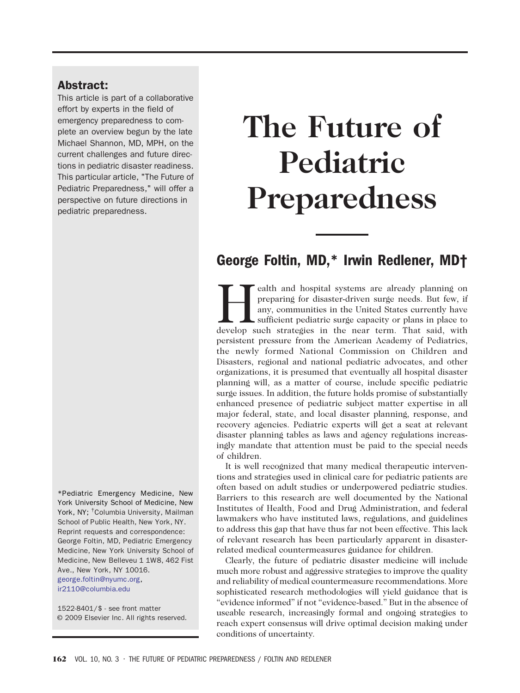## Abstract:

This article is part of a collaborative effort by experts in the field of emergency preparedness to complete an overview begun by the late Michael Shannon, MD, MPH, on the current challenges and future directions in pediatric disaster readiness. This particular article, "The Future of Pediatric Preparedness," will offer a perspective on future directions in pediatric preparedness.

\*Pediatric Emergency Medicine, New York University School of Medicine, New York, NY; † Columbia University, Mailman School of Public Health, New York, NY. Reprint requests and correspondence: George Foltin, MD, Pediatric Emergency Medicine, New York University School of Medicine, New Belleveu 1 1W8, 462 Fist Ave., New York, NY 10016. george.foltin@nyumc.org, ir2110@columbia.edu

1522-8401/\$ - see front matter © 2009 Elsevier Inc. All rights reserved.

## The Future of Pediatric Preparedness

## George Foltin, MD,\* Irwin Redlener, MD†

**Health and hospital systems are already planning on** preparing for disaster-driven surge needs. But few, if any, communities in the United States currently have sufficient pediatric surge capacity or plans in place to dev preparing for disaster-driven surge needs. But few, if any, communities in the United States currently have sufficient pediatric surge capacity or plans in place to persistent pressure from the American Academy of Pediatrics, the newly formed National Commission on Children and Disasters, regional and national pediatric advocates, and other organizations, it is presumed that eventually all hospital disaster planning will, as a matter of course, include specific pediatric surge issues. In addition, the future holds promise of substantially enhanced presence of pediatric subject matter expertise in all major federal, state, and local disaster planning, response, and recovery agencies. Pediatric experts will get a seat at relevant disaster planning tables as laws and agency regulations increasingly mandate that attention must be paid to the special needs of children.

It is well recognized that many medical therapeutic interventions and strategies used in clinical care for pediatric patients are often based on adult studies or underpowered pediatric studies. Barriers to this research are well documented by the National Institutes of Health, Food and Drug Administration, and federal lawmakers who have instituted laws, regulations, and guidelines to address this gap that have thus far not been effective. This lack of relevant research has been particularly apparent in disasterrelated medical countermeasures guidance for children.

Clearly, the future of pediatric disaster medicine will include much more robust and aggressive strategies to improve the quality and reliability of medical countermeasure recommendations. More sophisticated research methodologies will yield guidance that is "evidence informed" if not "evidence-based." But in the absence of useable research, increasingly formal and ongoing strategies to reach expert consensus will drive optimal decision making under conditions of uncertainty.